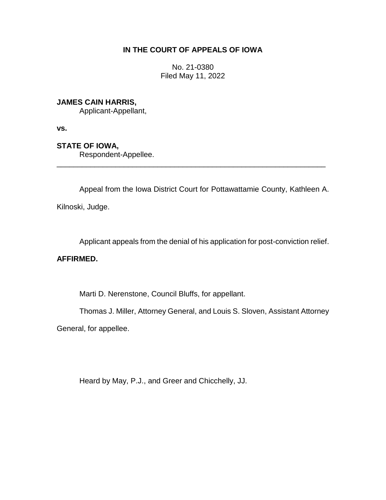# **IN THE COURT OF APPEALS OF IOWA**

No. 21-0380 Filed May 11, 2022

## **JAMES CAIN HARRIS,**

Applicant-Appellant,

**vs.**

# **STATE OF IOWA,**

Respondent-Appellee.

Appeal from the Iowa District Court for Pottawattamie County, Kathleen A.

\_\_\_\_\_\_\_\_\_\_\_\_\_\_\_\_\_\_\_\_\_\_\_\_\_\_\_\_\_\_\_\_\_\_\_\_\_\_\_\_\_\_\_\_\_\_\_\_\_\_\_\_\_\_\_\_\_\_\_\_\_\_\_\_

Kilnoski, Judge.

Applicant appeals from the denial of his application for post-conviction relief.

## **AFFIRMED.**

Marti D. Nerenstone, Council Bluffs, for appellant.

Thomas J. Miller, Attorney General, and Louis S. Sloven, Assistant Attorney

General, for appellee.

Heard by May, P.J., and Greer and Chicchelly, JJ.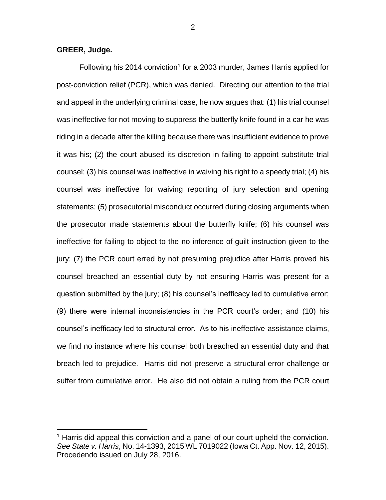### **GREER, Judge.**

 $\overline{a}$ 

Following his 2014 conviction<sup>1</sup> for a 2003 murder, James Harris applied for post-conviction relief (PCR), which was denied. Directing our attention to the trial and appeal in the underlying criminal case, he now argues that: (1) his trial counsel was ineffective for not moving to suppress the butterfly knife found in a car he was riding in a decade after the killing because there was insufficient evidence to prove it was his; (2) the court abused its discretion in failing to appoint substitute trial counsel; (3) his counsel was ineffective in waiving his right to a speedy trial; (4) his counsel was ineffective for waiving reporting of jury selection and opening statements; (5) prosecutorial misconduct occurred during closing arguments when the prosecutor made statements about the butterfly knife; (6) his counsel was ineffective for failing to object to the no-inference-of-guilt instruction given to the jury; (7) the PCR court erred by not presuming prejudice after Harris proved his counsel breached an essential duty by not ensuring Harris was present for a question submitted by the jury; (8) his counsel's inefficacy led to cumulative error; (9) there were internal inconsistencies in the PCR court's order; and (10) his counsel's inefficacy led to structural error. As to his ineffective-assistance claims, we find no instance where his counsel both breached an essential duty and that breach led to prejudice. Harris did not preserve a structural-error challenge or suffer from cumulative error. He also did not obtain a ruling from the PCR court

<sup>&</sup>lt;sup>1</sup> Harris did appeal this conviction and a panel of our court upheld the conviction. *See State v. Harris*, No. 14-1393, 2015 WL 7019022 (Iowa Ct. App. Nov. 12, 2015). Procedendo issued on July 28, 2016.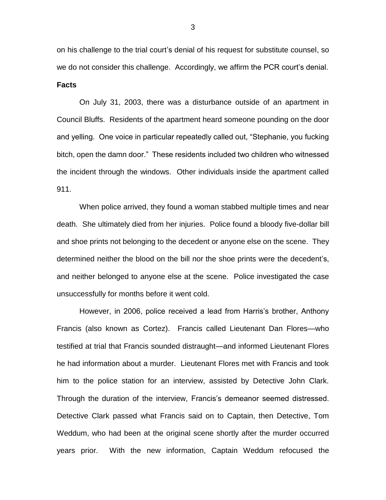on his challenge to the trial court's denial of his request for substitute counsel, so we do not consider this challenge. Accordingly, we affirm the PCR court's denial. **Facts**

On July 31, 2003, there was a disturbance outside of an apartment in Council Bluffs. Residents of the apartment heard someone pounding on the door and yelling. One voice in particular repeatedly called out, "Stephanie, you fucking bitch, open the damn door." These residents included two children who witnessed the incident through the windows. Other individuals inside the apartment called 911.

When police arrived, they found a woman stabbed multiple times and near death. She ultimately died from her injuries. Police found a bloody five-dollar bill and shoe prints not belonging to the decedent or anyone else on the scene. They determined neither the blood on the bill nor the shoe prints were the decedent's, and neither belonged to anyone else at the scene. Police investigated the case unsuccessfully for months before it went cold.

However, in 2006, police received a lead from Harris's brother, Anthony Francis (also known as Cortez). Francis called Lieutenant Dan Flores—who testified at trial that Francis sounded distraught—and informed Lieutenant Flores he had information about a murder. Lieutenant Flores met with Francis and took him to the police station for an interview, assisted by Detective John Clark. Through the duration of the interview, Francis's demeanor seemed distressed. Detective Clark passed what Francis said on to Captain, then Detective, Tom Weddum, who had been at the original scene shortly after the murder occurred years prior. With the new information, Captain Weddum refocused the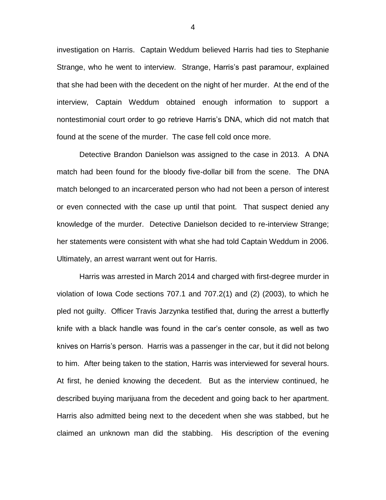investigation on Harris. Captain Weddum believed Harris had ties to Stephanie Strange, who he went to interview. Strange, Harris's past paramour, explained that she had been with the decedent on the night of her murder. At the end of the interview, Captain Weddum obtained enough information to support a nontestimonial court order to go retrieve Harris's DNA, which did not match that found at the scene of the murder. The case fell cold once more.

Detective Brandon Danielson was assigned to the case in 2013. A DNA match had been found for the bloody five-dollar bill from the scene. The DNA match belonged to an incarcerated person who had not been a person of interest or even connected with the case up until that point. That suspect denied any knowledge of the murder. Detective Danielson decided to re-interview Strange; her statements were consistent with what she had told Captain Weddum in 2006. Ultimately, an arrest warrant went out for Harris.

Harris was arrested in March 2014 and charged with first-degree murder in violation of Iowa Code sections 707.1 and 707.2(1) and (2) (2003), to which he pled not guilty. Officer Travis Jarzynka testified that, during the arrest a butterfly knife with a black handle was found in the car's center console, as well as two knives on Harris's person. Harris was a passenger in the car, but it did not belong to him. After being taken to the station, Harris was interviewed for several hours. At first, he denied knowing the decedent. But as the interview continued, he described buying marijuana from the decedent and going back to her apartment. Harris also admitted being next to the decedent when she was stabbed, but he claimed an unknown man did the stabbing. His description of the evening

4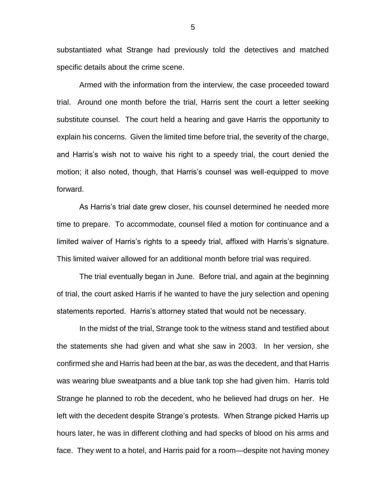substantiated what Strange had previously told the detectives and matched specific details about the crime scene.

Armed with the information from the interview, the case proceeded toward trial. Around one month before the trial, Harris sent the court a letter seeking substitute counsel. The court held a hearing and gave Harris the opportunity to explain his concerns. Given the limited time before trial, the severity of the charge, and Harris's wish not to waive his right to a speedy trial, the court denied the motion; it also noted, though, that Harris's counsel was well-equipped to move forward.

As Harris's trial date grew closer, his counsel determined he needed more time to prepare. To accommodate, counsel filed a motion for continuance and a limited waiver of Harris's rights to a speedy trial, affixed with Harris's signature. This limited waiver allowed for an additional month before trial was required.

The trial eventually began in June. Before trial, and again at the beginning of trial, the court asked Harris if he wanted to have the jury selection and opening statements reported. Harris's attorney stated that would not be necessary.

In the midst of the trial, Strange took to the witness stand and testified about the statements she had given and what she saw in 2003. In her version, she confirmed she and Harris had been at the bar, as was the decedent, and that Harris was wearing blue sweatpants and a blue tank top she had given him. Harris told Strange he planned to rob the decedent, who he believed had drugs on her. He left with the decedent despite Strange's protests. When Strange picked Harris up hours later, he was in different clothing and had specks of blood on his arms and face. They went to a hotel, and Harris paid for a room—despite not having money

5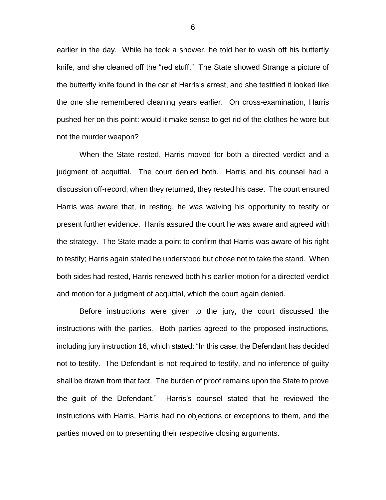earlier in the day. While he took a shower, he told her to wash off his butterfly knife, and she cleaned off the "red stuff." The State showed Strange a picture of the butterfly knife found in the car at Harris's arrest, and she testified it looked like the one she remembered cleaning years earlier. On cross-examination, Harris pushed her on this point: would it make sense to get rid of the clothes he wore but not the murder weapon?

When the State rested, Harris moved for both a directed verdict and a judgment of acquittal. The court denied both. Harris and his counsel had a discussion off-record; when they returned, they rested his case. The court ensured Harris was aware that, in resting, he was waiving his opportunity to testify or present further evidence. Harris assured the court he was aware and agreed with the strategy. The State made a point to confirm that Harris was aware of his right to testify; Harris again stated he understood but chose not to take the stand. When both sides had rested, Harris renewed both his earlier motion for a directed verdict and motion for a judgment of acquittal, which the court again denied.

Before instructions were given to the jury, the court discussed the instructions with the parties. Both parties agreed to the proposed instructions, including jury instruction 16, which stated: "In this case, the Defendant has decided not to testify. The Defendant is not required to testify, and no inference of guilty shall be drawn from that fact. The burden of proof remains upon the State to prove the guilt of the Defendant." Harris's counsel stated that he reviewed the instructions with Harris, Harris had no objections or exceptions to them, and the parties moved on to presenting their respective closing arguments.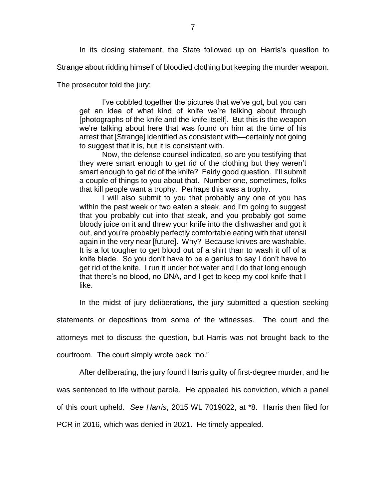In its closing statement, the State followed up on Harris's question to

Strange about ridding himself of bloodied clothing but keeping the murder weapon.

The prosecutor told the jury:

I've cobbled together the pictures that we've got, but you can get an idea of what kind of knife we're talking about through [photographs of the knife and the knife itself]. But this is the weapon we're talking about here that was found on him at the time of his arrest that [Strange] identified as consistent with—certainly not going to suggest that it is, but it is consistent with.

Now, the defense counsel indicated, so are you testifying that they were smart enough to get rid of the clothing but they weren't smart enough to get rid of the knife? Fairly good question. I'll submit a couple of things to you about that. Number one, sometimes, folks that kill people want a trophy. Perhaps this was a trophy.

I will also submit to you that probably any one of you has within the past week or two eaten a steak, and I'm going to suggest that you probably cut into that steak, and you probably got some bloody juice on it and threw your knife into the dishwasher and got it out, and you're probably perfectly comfortable eating with that utensil again in the very near [future]. Why? Because knives are washable. It is a lot tougher to get blood out of a shirt than to wash it off of a knife blade. So you don't have to be a genius to say I don't have to get rid of the knife. I run it under hot water and I do that long enough that there's no blood, no DNA, and I get to keep my cool knife that I like.

In the midst of jury deliberations, the jury submitted a question seeking

statements or depositions from some of the witnesses. The court and the

attorneys met to discuss the question, but Harris was not brought back to the

courtroom. The court simply wrote back "no."

After deliberating, the jury found Harris guilty of first-degree murder, and he was sentenced to life without parole. He appealed his conviction, which a panel of this court upheld. *See Harris*, 2015 WL 7019022, at \*8. Harris then filed for PCR in 2016, which was denied in 2021. He timely appealed.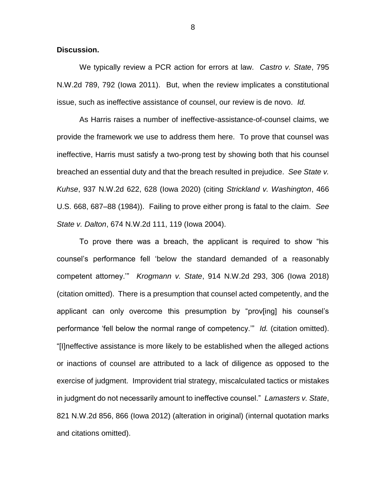### **Discussion.**

We typically review a PCR action for errors at law. *Castro v. State*, 795 N.W.2d 789, 792 (Iowa 2011). But, when the review implicates a constitutional issue, such as ineffective assistance of counsel, our review is de novo. *Id.*

As Harris raises a number of ineffective-assistance-of-counsel claims, we provide the framework we use to address them here. To prove that counsel was ineffective, Harris must satisfy a two-prong test by showing both that his counsel breached an essential duty and that the breach resulted in prejudice. *See State v. Kuhse*, 937 N.W.2d 622, 628 (Iowa 2020) (citing *Strickland v. Washington*, 466 U.S. 668, 687–88 (1984)). Failing to prove either prong is fatal to the claim. *See State v. Dalton*, 674 N.W.2d 111, 119 (Iowa 2004).

To prove there was a breach, the applicant is required to show "his counsel's performance fell 'below the standard demanded of a reasonably competent attorney.'" *Krogmann v. State*, 914 N.W.2d 293, 306 (Iowa 2018) (citation omitted). There is a presumption that counsel acted competently, and the applicant can only overcome this presumption by "prov[ing] his counsel's performance 'fell below the normal range of competency.'" *Id.* (citation omitted). "[I]neffective assistance is more likely to be established when the alleged actions or inactions of counsel are attributed to a lack of diligence as opposed to the exercise of judgment. Improvident trial strategy, miscalculated tactics or mistakes in judgment do not necessarily amount to ineffective counsel." *Lamasters v. State*, 821 N.W.2d 856, 866 (Iowa 2012) (alteration in original) (internal quotation marks and citations omitted).

8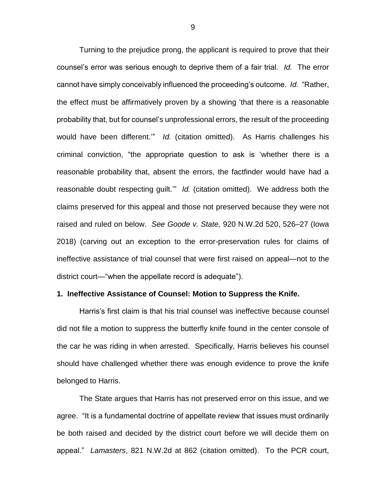Turning to the prejudice prong, the applicant is required to prove that their counsel's error was serious enough to deprive them of a fair trial. *Id.* The error cannot have simply conceivably influenced the proceeding's outcome. *Id.* "Rather, the effect must be affirmatively proven by a showing 'that there is a reasonable probability that, but for counsel's unprofessional errors, the result of the proceeding would have been different.'" *Id.* (citation omitted). As Harris challenges his criminal conviction, "the appropriate question to ask is 'whether there is a reasonable probability that, absent the errors, the factfinder would have had a reasonable doubt respecting guilt.'" *Id.* (citation omitted). We address both the claims preserved for this appeal and those not preserved because they were not raised and ruled on below. *See Goode v. State,* 920 N.W.2d 520, 526–27 (Iowa 2018) (carving out an exception to the error-preservation rules for claims of ineffective assistance of trial counsel that were first raised on appeal—not to the district court—"when the appellate record is adequate").

### **1. Ineffective Assistance of Counsel: Motion to Suppress the Knife.**

Harris's first claim is that his trial counsel was ineffective because counsel did not file a motion to suppress the butterfly knife found in the center console of the car he was riding in when arrested. Specifically, Harris believes his counsel should have challenged whether there was enough evidence to prove the knife belonged to Harris.

The State argues that Harris has not preserved error on this issue, and we agree. "It is a fundamental doctrine of appellate review that issues must ordinarily be both raised and decided by the district court before we will decide them on appeal." *Lamasters*, 821 N.W.2d at 862 (citation omitted). To the PCR court,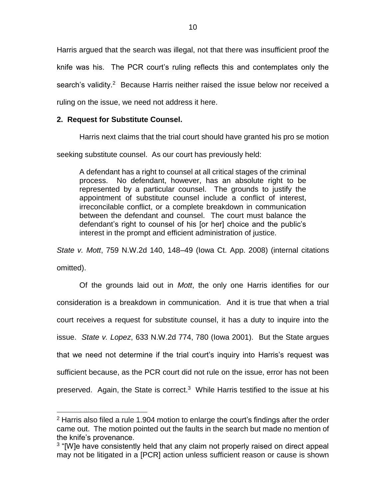Harris argued that the search was illegal, not that there was insufficient proof the knife was his. The PCR court's ruling reflects this and contemplates only the search's validity.<sup>2</sup> Because Harris neither raised the issue below nor received a ruling on the issue, we need not address it here.

## **2. Request for Substitute Counsel.**

 $\overline{a}$ 

Harris next claims that the trial court should have granted his pro se motion

seeking substitute counsel. As our court has previously held:

A defendant has a right to counsel at all critical stages of the criminal process. No defendant, however, has an absolute right to be represented by a particular counsel. The grounds to justify the appointment of substitute counsel include a conflict of interest, irreconcilable conflict, or a complete breakdown in communication between the defendant and counsel. The court must balance the defendant's right to counsel of his [or her] choice and the public's interest in the prompt and efficient administration of justice.

*State v. Mott*, 759 N.W.2d 140, 148–49 (Iowa Ct. App. 2008) (internal citations omitted).

Of the grounds laid out in *Mott*, the only one Harris identifies for our consideration is a breakdown in communication. And it is true that when a trial court receives a request for substitute counsel, it has a duty to inquire into the issue. *State v. Lopez*, 633 N.W.2d 774, 780 (Iowa 2001). But the State argues that we need not determine if the trial court's inquiry into Harris's request was sufficient because, as the PCR court did not rule on the issue, error has not been preserved. Again, the State is correct.<sup>3</sup> While Harris testified to the issue at his

<sup>2</sup> Harris also filed a rule 1.904 motion to enlarge the court's findings after the order came out. The motion pointed out the faults in the search but made no mention of the knife's provenance.

<sup>&</sup>lt;sup>3</sup> "[W]e have consistently held that any claim not properly raised on direct appeal may not be litigated in a [PCR] action unless sufficient reason or cause is shown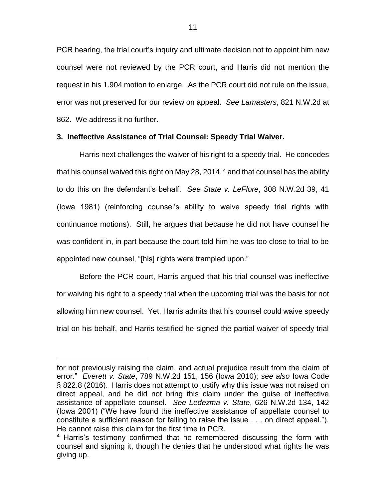PCR hearing, the trial court's inquiry and ultimate decision not to appoint him new counsel were not reviewed by the PCR court, and Harris did not mention the request in his 1.904 motion to enlarge. As the PCR court did not rule on the issue, error was not preserved for our review on appeal. *See Lamasters*, 821 N.W.2d at 862. We address it no further.

### **3. Ineffective Assistance of Trial Counsel: Speedy Trial Waiver.**

Harris next challenges the waiver of his right to a speedy trial. He concedes that his counsel waived this right on May 28, 2014,  $4$  and that counsel has the ability to do this on the defendant's behalf. *See State v. LeFlore*, 308 N.W.2d 39, 41 (Iowa 1981) (reinforcing counsel's ability to waive speedy trial rights with continuance motions). Still, he argues that because he did not have counsel he was confident in, in part because the court told him he was too close to trial to be appointed new counsel, "[his] rights were trampled upon."

Before the PCR court, Harris argued that his trial counsel was ineffective for waiving his right to a speedy trial when the upcoming trial was the basis for not allowing him new counsel. Yet, Harris admits that his counsel could waive speedy trial on his behalf, and Harris testified he signed the partial waiver of speedy trial

for not previously raising the claim, and actual prejudice result from the claim of error." *Everett v. State*, 789 N.W.2d 151, 156 (Iowa 2010); *see also* Iowa Code § 822.8 (2016). Harris does not attempt to justify why this issue was not raised on direct appeal, and he did not bring this claim under the guise of ineffective assistance of appellate counsel. *See Ledezma v. State*, 626 N.W.2d 134, 142 (Iowa 2001) ("We have found the ineffective assistance of appellate counsel to constitute a sufficient reason for failing to raise the issue . . . on direct appeal."). He cannot raise this claim for the first time in PCR.

<sup>&</sup>lt;sup>4</sup> Harris's testimony confirmed that he remembered discussing the form with counsel and signing it, though he denies that he understood what rights he was giving up.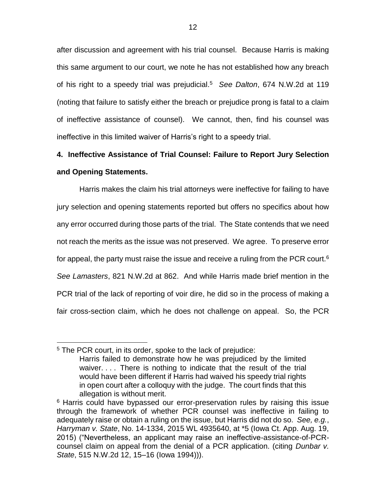after discussion and agreement with his trial counsel. Because Harris is making this same argument to our court, we note he has not established how any breach of his right to a speedy trial was prejudicial. <sup>5</sup> *See Dalton*, 674 N.W.2d at 119 (noting that failure to satisfy either the breach or prejudice prong is fatal to a claim of ineffective assistance of counsel). We cannot, then, find his counsel was ineffective in this limited waiver of Harris's right to a speedy trial.

# **4. Ineffective Assistance of Trial Counsel: Failure to Report Jury Selection and Opening Statements.**

Harris makes the claim his trial attorneys were ineffective for failing to have jury selection and opening statements reported but offers no specifics about how any error occurred during those parts of the trial. The State contends that we need not reach the merits as the issue was not preserved. We agree. To preserve error for appeal, the party must raise the issue and receive a ruling from the PCR court.<sup>6</sup> *See Lamasters*, 821 N.W.2d at 862. And while Harris made brief mention in the PCR trial of the lack of reporting of voir dire, he did so in the process of making a fair cross-section claim, which he does not challenge on appeal. So, the PCR

<sup>&</sup>lt;sup>5</sup> The PCR court, in its order, spoke to the lack of prejudice: Harris failed to demonstrate how he was prejudiced by the limited waiver. . . . There is nothing to indicate that the result of the trial would have been different if Harris had waived his speedy trial rights in open court after a colloquy with the judge. The court finds that this allegation is without merit.

<sup>&</sup>lt;sup>6</sup> Harris could have bypassed our error-preservation rules by raising this issue through the framework of whether PCR counsel was ineffective in failing to adequately raise or obtain a ruling on the issue, but Harris did not do so. *See, e.g.*, *Harryman v. State*, No. 14-1334, 2015 WL 4935640, at \*5 (Iowa Ct. App. Aug. 19, 2015) ("Nevertheless, an applicant may raise an ineffective-assistance-of-PCRcounsel claim on appeal from the denial of a PCR application. (citing *Dunbar v. State*, 515 N.W.2d 12, 15–16 (Iowa 1994))).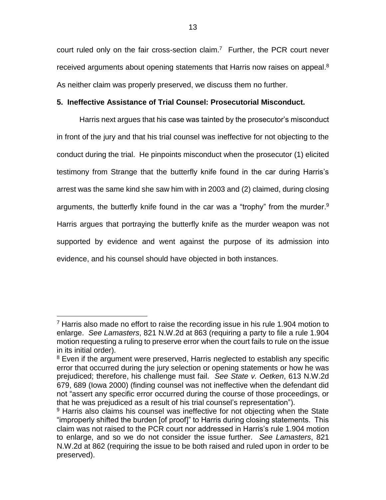court ruled only on the fair cross-section claim.<sup>7</sup> Further, the PCR court never received arguments about opening statements that Harris now raises on appeal.<sup>8</sup> As neither claim was properly preserved, we discuss them no further.

## **5. Ineffective Assistance of Trial Counsel: Prosecutorial Misconduct.**

Harris next argues that his case was tainted by the prosecutor's misconduct in front of the jury and that his trial counsel was ineffective for not objecting to the conduct during the trial. He pinpoints misconduct when the prosecutor (1) elicited testimony from Strange that the butterfly knife found in the car during Harris's arrest was the same kind she saw him with in 2003 and (2) claimed, during closing arguments, the butterfly knife found in the car was a "trophy" from the murder.<sup>9</sup> Harris argues that portraying the butterfly knife as the murder weapon was not supported by evidence and went against the purpose of its admission into evidence, and his counsel should have objected in both instances.

<sup>&</sup>lt;sup>7</sup> Harris also made no effort to raise the recording issue in his rule 1.904 motion to enlarge. *See Lamasters*, 821 N.W.2d at 863 (requiring a party to file a rule 1.904 motion requesting a ruling to preserve error when the court fails to rule on the issue in its initial order).

<sup>&</sup>lt;sup>8</sup> Even if the argument were preserved, Harris neglected to establish any specific error that occurred during the jury selection or opening statements or how he was prejudiced; therefore, his challenge must fail. *See State v. Oetken*, 613 N.W.2d 679, 689 (Iowa 2000) (finding counsel was not ineffective when the defendant did not "assert any specific error occurred during the course of those proceedings, or that he was prejudiced as a result of his trial counsel's representation").

<sup>&</sup>lt;sup>9</sup> Harris also claims his counsel was ineffective for not objecting when the State "improperly shifted the burden [of proof]" to Harris during closing statements. This claim was not raised to the PCR court nor addressed in Harris's rule 1.904 motion to enlarge, and so we do not consider the issue further. *See Lamasters*, 821 N.W.2d at 862 (requiring the issue to be both raised and ruled upon in order to be preserved).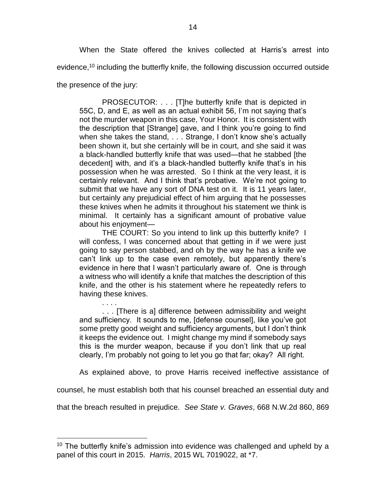When the State offered the knives collected at Harris's arrest into evidence,<sup>10</sup> including the butterfly knife, the following discussion occurred outside

the presence of the jury:

 $\overline{a}$ 

PROSECUTOR: . . . [T]he butterfly knife that is depicted in 55C, D, and E, as well as an actual exhibit 56, I'm not saying that's not the murder weapon in this case, Your Honor. It is consistent with the description that [Strange] gave, and I think you're going to find when she takes the stand, . . . Strange, I don't know she's actually been shown it, but she certainly will be in court, and she said it was a black-handled butterfly knife that was used—that he stabbed [the decedent] with, and it's a black-handled butterfly knife that's in his possession when he was arrested. So I think at the very least, it is certainly relevant. And I think that's probative. We're not going to submit that we have any sort of DNA test on it. It is 11 years later, but certainly any prejudicial effect of him arguing that he possesses these knives when he admits it throughout his statement we think is minimal. It certainly has a significant amount of probative value about his enjoyment—

THE COURT: So you intend to link up this butterfly knife? I will confess, I was concerned about that getting in if we were just going to say person stabbed, and oh by the way he has a knife we can't link up to the case even remotely, but apparently there's evidence in here that I wasn't particularly aware of. One is through a witness who will identify a knife that matches the description of this knife, and the other is his statement where he repeatedly refers to having these knives.

. . . . . . . [There is a] difference between admissibility and weight and sufficiency. It sounds to me, [defense counsel], like you've got some pretty good weight and sufficiency arguments, but I don't think it keeps the evidence out. I might change my mind if somebody says this is the murder weapon, because if you don't link that up real clearly, I'm probably not going to let you go that far; okay? All right.

As explained above, to prove Harris received ineffective assistance of

counsel, he must establish both that his counsel breached an essential duty and

that the breach resulted in prejudice. *See State v. Graves*, 668 N.W.2d 860, 869

<sup>&</sup>lt;sup>10</sup> The butterfly knife's admission into evidence was challenged and upheld by a panel of this court in 2015. *Harris*, 2015 WL 7019022, at \*7.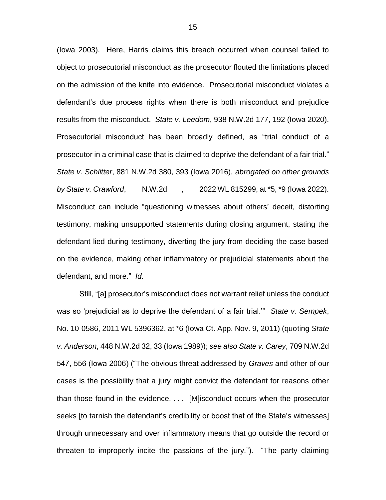(Iowa 2003). Here, Harris claims this breach occurred when counsel failed to object to prosecutorial misconduct as the prosecutor flouted the limitations placed on the admission of the knife into evidence. Prosecutorial misconduct violates a defendant's due process rights when there is both misconduct and prejudice results from the misconduct. *State v. Leedom*, 938 N.W.2d 177, 192 (Iowa 2020). Prosecutorial misconduct has been broadly defined, as "trial conduct of a prosecutor in a criminal case that is claimed to deprive the defendant of a fair trial." *State v. Schlitter*, 881 N.W.2d 380, 393 (Iowa 2016), *abrogated on other grounds by State v. Crawford*, \_\_\_ N.W.2d \_\_\_, \_\_\_ 2022 WL 815299, at \*5, \*9 (Iowa 2022). Misconduct can include "questioning witnesses about others' deceit, distorting testimony, making unsupported statements during closing argument, stating the defendant lied during testimony, diverting the jury from deciding the case based on the evidence, making other inflammatory or prejudicial statements about the defendant, and more." *Id.*

Still, "[a] prosecutor's misconduct does not warrant relief unless the conduct was so 'prejudicial as to deprive the defendant of a fair trial.'" *State v. Sempek*, No. 10-0586, 2011 WL 5396362, at \*6 (Iowa Ct. App. Nov. 9, 2011) (quoting *State v. Anderson*, 448 N.W.2d 32, 33 (Iowa 1989)); *see also State v. Carey*, 709 N.W.2d 547, 556 (Iowa 2006) ("The obvious threat addressed by *Graves* and other of our cases is the possibility that a jury might convict the defendant for reasons other than those found in the evidence. . . . [M]isconduct occurs when the prosecutor seeks [to tarnish the defendant's credibility or boost that of the State's witnesses] through unnecessary and over inflammatory means that go outside the record or threaten to improperly incite the passions of the jury."). "The party claiming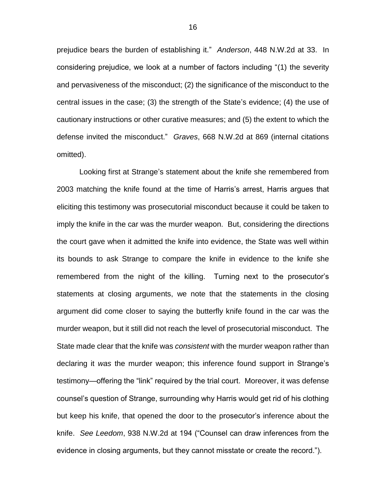prejudice bears the burden of establishing it." *Anderson*, 448 N.W.2d at 33. In considering prejudice, we look at a number of factors including "(1) the severity and pervasiveness of the misconduct; (2) the significance of the misconduct to the central issues in the case; (3) the strength of the State's evidence; (4) the use of cautionary instructions or other curative measures; and (5) the extent to which the defense invited the misconduct." *Graves*, 668 N.W.2d at 869 (internal citations omitted).

Looking first at Strange's statement about the knife she remembered from 2003 matching the knife found at the time of Harris's arrest, Harris argues that eliciting this testimony was prosecutorial misconduct because it could be taken to imply the knife in the car was the murder weapon. But, considering the directions the court gave when it admitted the knife into evidence, the State was well within its bounds to ask Strange to compare the knife in evidence to the knife she remembered from the night of the killing. Turning next to the prosecutor's statements at closing arguments, we note that the statements in the closing argument did come closer to saying the butterfly knife found in the car was the murder weapon, but it still did not reach the level of prosecutorial misconduct. The State made clear that the knife was *consistent* with the murder weapon rather than declaring it *was* the murder weapon; this inference found support in Strange's testimony—offering the "link" required by the trial court. Moreover, it was defense counsel's question of Strange, surrounding why Harris would get rid of his clothing but keep his knife, that opened the door to the prosecutor's inference about the knife. *See Leedom*, 938 N.W.2d at 194 ("Counsel can draw inferences from the evidence in closing arguments, but they cannot misstate or create the record.").

16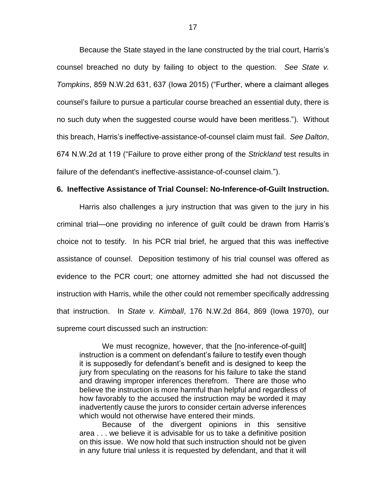Because the State stayed in the lane constructed by the trial court, Harris's counsel breached no duty by failing to object to the question. *See State v. Tompkins*, 859 N.W.2d 631, 637 (Iowa 2015) ("Further, where a claimant alleges counsel's failure to pursue a particular course breached an essential duty, there is no such duty when the suggested course would have been meritless."). Without this breach, Harris's ineffective-assistance-of-counsel claim must fail. *See Dalton*, 674 N.W.2d at 119 ("Failure to prove either prong of the *Strickland* test results in failure of the defendant's ineffective-assistance-of-counsel claim.").

### **6. Ineffective Assistance of Trial Counsel: No-Inference-of-Guilt Instruction.**

Harris also challenges a jury instruction that was given to the jury in his criminal trial—one providing no inference of guilt could be drawn from Harris's choice not to testify. In his PCR trial brief, he argued that this was ineffective assistance of counsel. Deposition testimony of his trial counsel was offered as evidence to the PCR court; one attorney admitted she had not discussed the instruction with Harris, while the other could not remember specifically addressing that instruction. In *State v. Kimball*, 176 N.W.2d 864, 869 (Iowa 1970), our supreme court discussed such an instruction:

We must recognize, however, that the [no-inference-of-guilt] instruction is a comment on defendant's failure to testify even though it is supposedly for defendant's benefit and is designed to keep the jury from speculating on the reasons for his failure to take the stand and drawing improper inferences therefrom. There are those who believe the instruction is more harmful than helpful and regardless of how favorably to the accused the instruction may be worded it may inadvertently cause the jurors to consider certain adverse inferences which would not otherwise have entered their minds.

Because of the divergent opinions in this sensitive area . . . we believe it is advisable for us to take a definitive position on this issue. We now hold that such instruction should not be given in any future trial unless it is requested by defendant, and that it will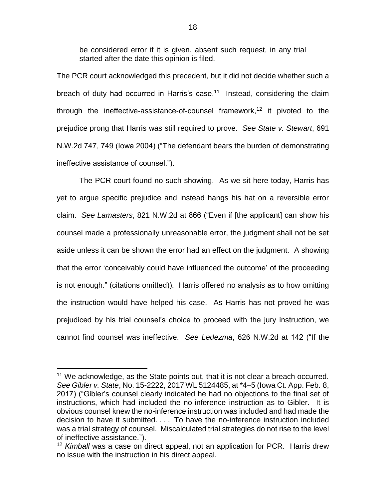be considered error if it is given, absent such request, in any trial started after the date this opinion is filed.

The PCR court acknowledged this precedent, but it did not decide whether such a breach of duty had occurred in Harris's case.<sup>11</sup> Instead, considering the claim through the ineffective-assistance-of-counsel framework,<sup>12</sup> it pivoted to the prejudice prong that Harris was still required to prove. *See State v. Stewart*, 691 N.W.2d 747, 749 (Iowa 2004) ("The defendant bears the burden of demonstrating ineffective assistance of counsel.").

The PCR court found no such showing. As we sit here today, Harris has yet to argue specific prejudice and instead hangs his hat on a reversible error claim. *See Lamasters*, 821 N.W.2d at 866 ("Even if [the applicant] can show his counsel made a professionally unreasonable error, the judgment shall not be set aside unless it can be shown the error had an effect on the judgment. A showing that the error 'conceivably could have influenced the outcome' of the proceeding is not enough." (citations omitted)). Harris offered no analysis as to how omitting the instruction would have helped his case. As Harris has not proved he was prejudiced by his trial counsel's choice to proceed with the jury instruction, we cannot find counsel was ineffective. *See Ledezma*, 626 N.W.2d at 142 ("If the

<sup>&</sup>lt;sup>11</sup> We acknowledge, as the State points out, that it is not clear a breach occurred. *See Gibler v. State*, No. 15-2222, 2017 WL 5124485, at \*4–5 (Iowa Ct. App. Feb. 8, 2017) ("Gibler's counsel clearly indicated he had no objections to the final set of instructions, which had included the no-inference instruction as to Gibler. It is obvious counsel knew the no-inference instruction was included and had made the decision to have it submitted. . . . To have the no-inference instruction included was a trial strategy of counsel. Miscalculated trial strategies do not rise to the level of ineffective assistance.").

<sup>12</sup> *Kimball* was a case on direct appeal, not an application for PCR. Harris drew no issue with the instruction in his direct appeal.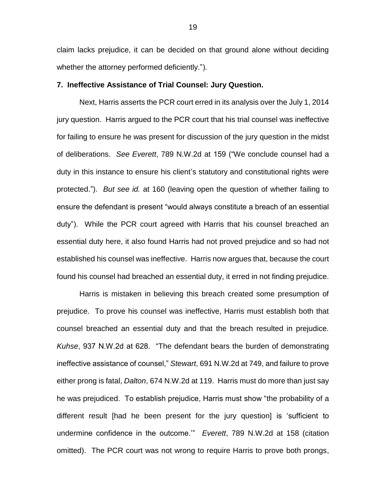claim lacks prejudice, it can be decided on that ground alone without deciding whether the attorney performed deficiently.").

#### **7. Ineffective Assistance of Trial Counsel: Jury Question.**

Next, Harris asserts the PCR court erred in its analysis over the July 1, 2014 jury question. Harris argued to the PCR court that his trial counsel was ineffective for failing to ensure he was present for discussion of the jury question in the midst of deliberations. *See Everett*, 789 N.W.2d at 159 ("We conclude counsel had a duty in this instance to ensure his client's statutory and constitutional rights were protected."). *But see id.* at 160 (leaving open the question of whether failing to ensure the defendant is present "would always constitute a breach of an essential duty"). While the PCR court agreed with Harris that his counsel breached an essential duty here, it also found Harris had not proved prejudice and so had not established his counsel was ineffective. Harris now argues that, because the court found his counsel had breached an essential duty, it erred in not finding prejudice.

Harris is mistaken in believing this breach created some presumption of prejudice. To prove his counsel was ineffective, Harris must establish both that counsel breached an essential duty and that the breach resulted in prejudice. *Kuhse*, 937 N.W.2d at 628. "The defendant bears the burden of demonstrating ineffective assistance of counsel," *Stewart*, 691 N.W.2d at 749, and failure to prove either prong is fatal, *Dalton*, 674 N.W.2d at 119. Harris must do more than just say he was prejudiced. To establish prejudice, Harris must show "the probability of a different result [had he been present for the jury question] is 'sufficient to undermine confidence in the outcome.'" *Everett*, 789 N.W.2d at 158 (citation omitted). The PCR court was not wrong to require Harris to prove both prongs,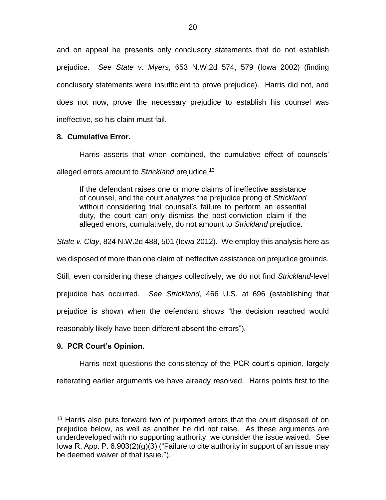and on appeal he presents only conclusory statements that do not establish prejudice. *See State v. Myers*, 653 N.W.2d 574, 579 (Iowa 2002) (finding conclusory statements were insufficient to prove prejudice). Harris did not, and does not now, prove the necessary prejudice to establish his counsel was ineffective, so his claim must fail.

## **8. Cumulative Error.**

Harris asserts that when combined, the cumulative effect of counsels' alleged errors amount to *Strickland* prejudice. 13

If the defendant raises one or more claims of ineffective assistance of counsel, and the court analyzes the prejudice prong of *Strickland* without considering trial counsel's failure to perform an essential duty, the court can only dismiss the post-conviction claim if the alleged errors, cumulatively, do not amount to *Strickland* prejudice.

*State v. Clay*, 824 N.W.2d 488, 501 (Iowa 2012). We employ this analysis here as

we disposed of more than one claim of ineffective assistance on prejudice grounds.

Still, even considering these charges collectively, we do not find *Strickland*-level

prejudice has occurred. *See Strickland*, 466 U.S. at 696 (establishing that

prejudice is shown when the defendant shows "the decision reached would

reasonably likely have been different absent the errors").

## **9. PCR Court's Opinion.**

 $\overline{a}$ 

Harris next questions the consistency of the PCR court's opinion, largely

reiterating earlier arguments we have already resolved. Harris points first to the

<sup>&</sup>lt;sup>13</sup> Harris also puts forward two of purported errors that the court disposed of on prejudice below, as well as another he did not raise. As these arguments are underdeveloped with no supporting authority, we consider the issue waived. *See*  Iowa R. App. P. 6.903(2)(g)(3) ("Failure to cite authority in support of an issue may be deemed waiver of that issue.").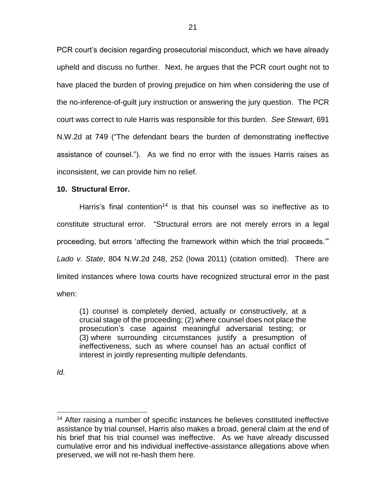PCR court's decision regarding prosecutorial misconduct, which we have already upheld and discuss no further. Next, he argues that the PCR court ought not to have placed the burden of proving prejudice on him when considering the use of the no-inference-of-guilt jury instruction or answering the jury question. The PCR court was correct to rule Harris was responsible for this burden. *See Stewart*, 691 N.W.2d at 749 ("The defendant bears the burden of demonstrating ineffective assistance of counsel."). As we find no error with the issues Harris raises as inconsistent, we can provide him no relief.

## **10. Structural Error.**

Harris's final contention<sup>14</sup> is that his counsel was so ineffective as to constitute structural error. "Structural errors are not merely errors in a legal proceeding, but errors 'affecting the framework within which the trial proceeds.'" *Lado v. State*, 804 N.W.2d 248, 252 (Iowa 2011) (citation omitted). There are limited instances where Iowa courts have recognized structural error in the past when:

(1) counsel is completely denied, actually or constructively, at a crucial stage of the proceeding; (2) where counsel does not place the prosecution's case against meaningful adversarial testing; or (3) where surrounding circumstances justify a presumption of ineffectiveness, such as where counsel has an actual conflict of interest in jointly representing multiple defendants.

*Id.*

<sup>&</sup>lt;sup>14</sup> After raising a number of specific instances he believes constituted ineffective assistance by trial counsel, Harris also makes a broad, general claim at the end of his brief that his trial counsel was ineffective. As we have already discussed cumulative error and his individual ineffective-assistance allegations above when preserved, we will not re-hash them here.